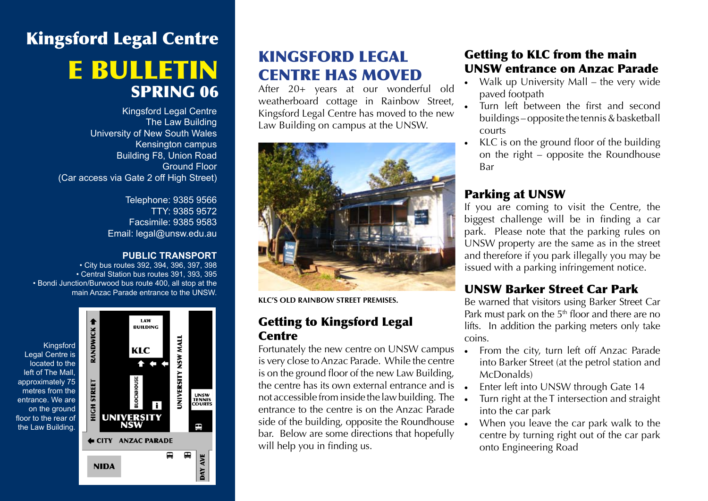# Kingsford Legal Centre e bulletin SPRING 06

Kingsford Legal Centre The Law Building University of New South Wales Kensington campus Building F8, Union Road Ground Floor (Car access via Gate 2 off High Street)

> Telephone: 9385 9566 TTY: 9385 9572 Facsimile: 9385 9583 Email: legal@unsw.edu.au

#### **PUBLIC TRANSPORT**

• City bus routes 392, 394, 396, 397, 398 • Central Station bus routes 391, 393, 395 • Bondi Junction/Burwood bus route 400, all stop at the main Anzac Parade entrance to the UNSW.



## KINGSFORD LEGAL CENTRE HAS MOVED

After 20+ years at our wonderful old weatherboard cottage in Rainbow Street, Kingsford Legal Centre has moved to the new Law Building on campus at the UNSW.



**KLc's old rainbow street premises.**

### Getting to Kingsford Legal **Centre**

Fortunately the new centre on UNSW campus is very close to Anzac Parade. While the centre is on the ground floor of the new Law Building, the centre has its own external entrance and is not accessible from inside the law building. The entrance to the centre is on the Anzac Parade side of the building, opposite the Roundhouse • bar. Below are some directions that hopefully will help you in finding us.

## Getting to KLC from the main UNSW entrance on Anzac Parade

- Walk up University Mall the very wide paved footpath
- Turn left between the first and second buildings – opposite the tennis & basketball courts
- KLC is on the ground floor of the building on the right – opposite the Roundhouse Bar

## Parking at UNSW

If you are coming to visit the Centre, the biggest challenge will be in finding a car park. Please note that the parking rules on UNSW property are the same as in the street and therefore if you park illegally you may be issued with a parking infringement notice.

## UNSW Barker Street Car Park

Be warned that visitors using Barker Street Car Park must park on the  $5<sup>th</sup>$  floor and there are no lifts. In addition the parking meters only take coins.

- From the city, turn left off Anzac Parade into Barker Street (at the petrol station and McDonalds)
- Enter left into UNSW through Gate 14
- Turn right at the T intersection and straight into the car park
- When you leave the car park walk to the centre by turning right out of the car park onto Engineering Road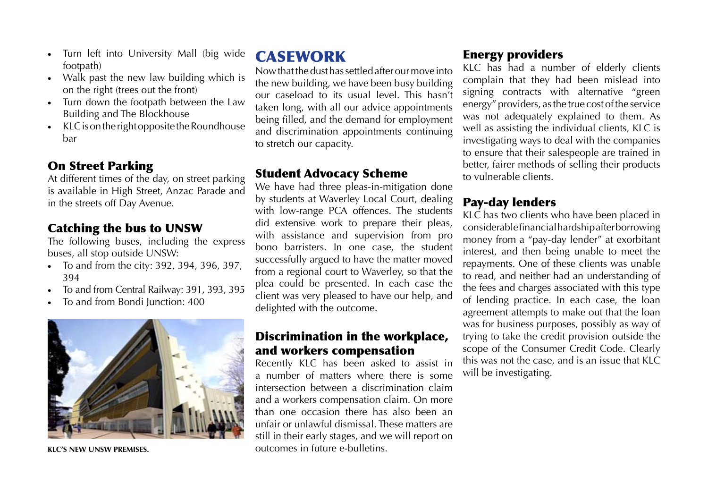- Turn left into University Mall (big wide footpath)
- Walk past the new law building which is on the right (trees out the front)
- • Turn down the footpath between the Law Building and The Blockhouse
- KLC is on the right opposite the Roundhouse bar

## On Street Parking

At different times of the day, on street parking is available in High Street, Anzac Parade and in the streets off Day Avenue.

## Catching the bus to UNSW

The following buses, including the express buses, all stop outside UNSW:

- • To and from the city: 392, 394, 396, 397, 394
- To and from Central Railway: 391, 393, 395
- To and from Bondi Junction: 400



**KLc's new UNSW premises.**

## CASEWORK

Now that the dust has settled after our move into the new building, we have been busy building our caseload to its usual level. This hasn't taken long, with all our advice appointments being filled, and the demand for employment and discrimination appointments continuing to stretch our capacity.

## Student Advocacy Scheme

We have had three pleas-in-mitigation done by students at Waverley Local Court, dealing with low-range PCA offences. The students did extensive work to prepare their pleas, with assistance and supervision from pro bono barristers. In one case, the student successfully argued to have the matter moved from a regional court to Waverley, so that the plea could be presented. In each case the client was very pleased to have our help, and delighted with the outcome.

### Discrimination in the workplace, and workers compensation

Recently KLC has been asked to assist in a number of matters where there is some intersection between a discrimination claim and a workers compensation claim. On more than one occasion there has also been an unfair or unlawful dismissal. These matters are still in their early stages, and we will report on outcomes in future e-bulletins.

## Energy providers

KLC has had a number of elderly clients complain that they had been mislead into signing contracts with alternative "green energy" providers, as the true cost of the service was not adequately explained to them. As well as assisting the individual clients, KLC is investigating ways to deal with the companies to ensure that their salespeople are trained in better, fairer methods of selling their products to vulnerable clients.

## Pay-day lenders

KLC has two clients who have been placed in considerable financial hardship after borrowing money from a "pay-day lender" at exorbitant interest, and then being unable to meet the repayments. One of these clients was unable to read, and neither had an understanding of the fees and charges associated with this type of lending practice. In each case, the loan agreement attempts to make out that the loan was for business purposes, possibly as way of trying to take the credit provision outside the scope of the Consumer Credit Code. Clearly this was not the case, and is an issue that KLC will be investigating.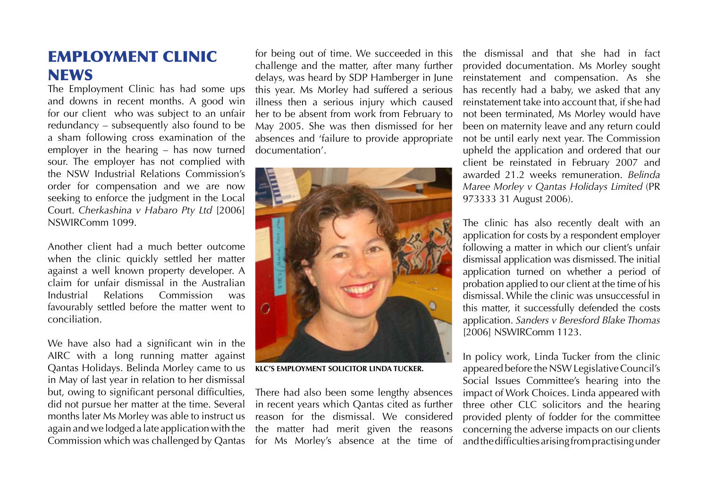## EMPLOYMENT CLINIC **NEWS**

The Employment Clinic has had some ups and downs in recent months. A good win for our client who was subject to an unfair redundancy – subsequently also found to be a sham following cross examination of the employer in the hearing – has now turned sour. The employer has not complied with the NSW Industrial Relations Commission's order for compensation and we are now seeking to enforce the judgment in the Local Court. *Cherkashina v Habaro Pty Ltd* [2006] NSWIRComm 1099.

Another client had a much better outcome when the clinic quickly settled her matter against a well known property developer. A claim for unfair dismissal in the Australian Industrial Relations Commission was favourably settled before the matter went to conciliation.

We have also had a significant win in the AIRC with a long running matter against Qantas Holidays. Belinda Morley came to us in May of last year in relation to her dismissal but, owing to significant personal difficulties, did not pursue her matter at the time. Several months later Ms Morley was able to instruct us again and we lodged a late application with the Commission which was challenged by Qantas

for being out of time. We succeeded in this challenge and the matter, after many further delays, was heard by SDP Hamberger in June this year. Ms Morley had suffered a serious illness then a serious injury which caused her to be absent from work from February to May 2005. She was then dismissed for her absences and 'failure to provide appropriate documentation'.



**KLC'S EMPLOYMENT SOLICITOR LINDA TUCKER.**

There had also been some lengthy absences in recent years which Qantas cited as further reason for the dismissal. We considered the matter had merit given the reasons for Ms Morley's absence at the time of the dismissal and that she had in fact provided documentation. Ms Morley sought reinstatement and compensation. As she has recently had a baby, we asked that any reinstatement take into account that, if she had not been terminated, Ms Morley would have been on maternity leave and any return could not be until early next year. The Commission upheld the application and ordered that our client be reinstated in February 2007 and awarded 21.2 weeks remuneration. *Belinda Maree Morley v Qantas Holidays Limited* (PR 973333 31 August 2006).

The clinic has also recently dealt with an application for costs by a respondent employer following a matter in which our client's unfair dismissal application was dismissed. The initial application turned on whether a period of probation applied to our client at the time of his dismissal. While the clinic was unsuccessful in this matter, it successfully defended the costs application. *Sanders v Beresford Blake Thomas* [2006] NSWIRComm 1123.

In policy work, Linda Tucker from the clinic appeared before the NSW Legislative Council's Social Issues Committee's hearing into the impact of Work Choices. Linda appeared with three other CLC solicitors and the hearing provided plenty of fodder for the committee concerning the adverse impacts on our clients and the difficulties arising from practising under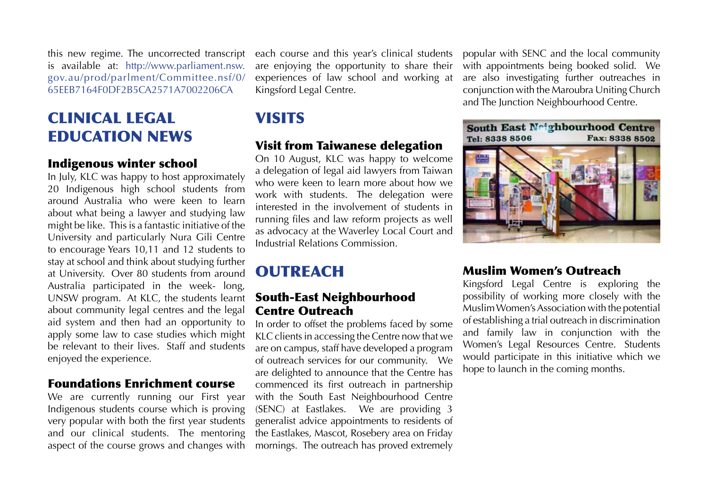this new regime. The uncorrected transcript is available at: http://www.parliament.nsw. gov.au/prod/parlment/Committee.nsf/0/ 65EEB7164F0DF2B5CA2571A7002206CA

## CLINICAL LEGAL EDUCATION NEWS

#### Indigenous winter school

In July, KLC was happy to host approximately 20 Indigenous high school students from around Australia who were keen to learn about what being a lawyer and studying law might be like. This is a fantastic initiative of the University and particularly Nura Gili Centre to encourage Years 10,11 and 12 students to stay at school and think about studying further at University. Over 80 students from around Australia participated in the week- long, UNSW program. At KLC, the students learnt about community legal centres and the legal aid system and then had an opportunity to apply some law to case studies which might be relevant to their lives. Staff and students enjoyed the experience.

#### Foundations Enrichment course

We are currently running our First year Indigenous students course which is proving very popular with both the first year students and our clinical students. The mentoring aspect of the course grows and changes with each course and this year's clinical students are enjoying the opportunity to share their experiences of law school and working at Kingsford Legal Centre.

## **VISITS**

### Visit from Taiwanese delegation

On 10 August, KLC was happy to welcome a delegation of legal aid lawyers from Taiwan who were keen to learn more about how we work with students. The delegation were interested in the involvement of students in running files and law reform projects as well as advocacy at the Waverley Local Court and Industrial Relations Commission.

## **OUTREACH**

### South-East Neighbourhood Centre Outreach

In order to offset the problems faced by some KLC clients in accessing the Centre now that we are on campus, staff have developed a program of outreach services for our community. We are delighted to announce that the Centre has commenced its first outreach in partnership with the South East Neighbourhood Centre (SENC) at Eastlakes. We are providing 3 generalist advice appointments to residents of the Eastlakes, Mascot, Rosebery area on Friday mornings. The outreach has proved extremely

popular with SENC and the local community with appointments being booked solid. We are also investigating further outreaches in conjunction with the Maroubra Uniting Church and The Junction Neighbourhood Centre.



#### Muslim Women's Outreach

Kingsford Legal Centre is exploring the possibility of working more closely with the Muslim Women's Association with the potential of establishing a trial outreach in discrimination and family law in conjunction with the Women's Legal Resources Centre. Students would participate in this initiative which we hope to launch in the coming months.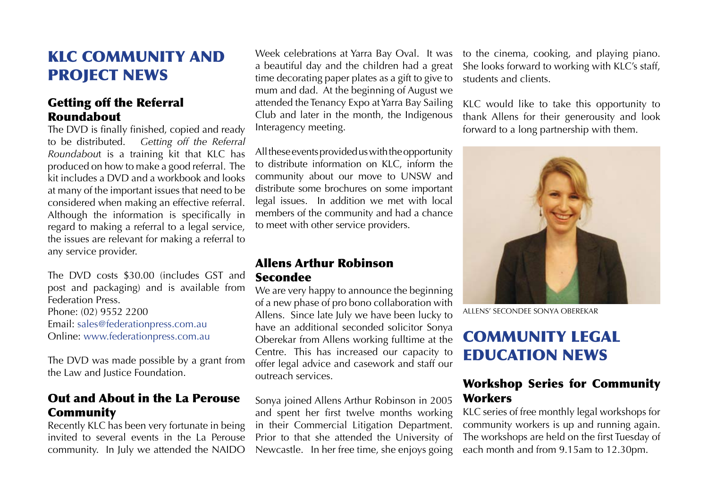## KLC COMMUNITY and PROJECT NEWS

## Getting off the Referral Roundabout

The DVD is finally finished, copied and ready to be distributed. *Getting off the Referral Roundabou*t is a training kit that KLC has produced on how to make a good referral. The kit includes a DVD and a workbook and looks at many of the important issues that need to be considered when making an effective referral. Although the information is specifically in regard to making a referral to a legal service, the issues are relevant for making a referral to any service provider.

The DVD costs \$30.00 (includes GST and post and packaging) and is available from Federation Press. Phone: (02) 9552 2200 Email: sales@federationpress.com.au Online: www.federationpress.com.au

The DVD was made possible by a grant from the Law and Justice Foundation.

### Out and About in the La Perouse Community

Recently KLC has been very fortunate in being invited to several events in the La Perouse community. In July we attended the NAIDO

Week celebrations at Yarra Bay Oval. It was a beautiful day and the children had a great time decorating paper plates as a gift to give to mum and dad. At the beginning of August we attended the Tenancy Expo at Yarra Bay Sailing Club and later in the month, the Indigenous Interagency meeting.

All these events provided us with the opportunity to distribute information on KLC, inform the community about our move to UNSW and distribute some brochures on some important legal issues. In addition we met with local members of the community and had a chance to meet with other service providers.

## Allens Arthur Robinson Secondee

We are very happy to announce the beginning of a new phase of pro bono collaboration with Allens. Since late July we have been lucky to have an additional seconded solicitor Sonya Oberekar from Allens working fulltime at the Centre. This has increased our capacity to offer legal advice and casework and staff our outreach services.

Sonya joined Allens Arthur Robinson in 2005 and spent her first twelve months working in their Commercial Litigation Department. Prior to that she attended the University of Newcastle. In her free time, she enjoys going

to the cinema, cooking, and playing piano. She looks forward to working with KLC's staff, students and clients.

KLC would like to take this opportunity to thank Allens for their generousity and look forward to a long partnership with them.



allens' secondee SONYA OBEREKAR

## COMMUNITY LEGAL EDUCATION NEWS

## Workshop Series for Community **Workers**

KLC series of free monthly legal workshops for community workers is up and running again. The workshops are held on the first Tuesday of each month and from 9.15am to 12.30pm.